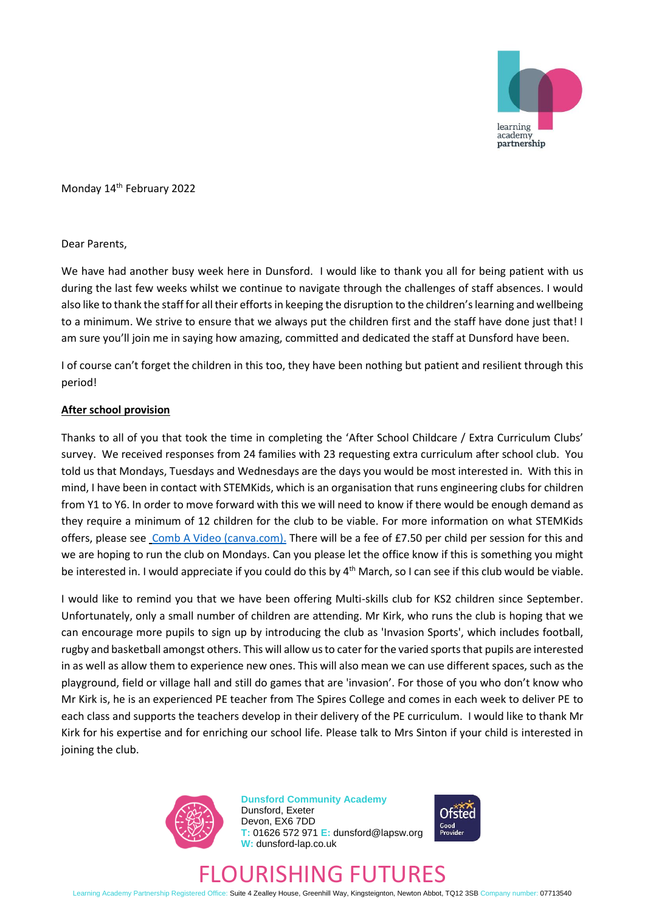

Monday 14<sup>th</sup> February 2022

### Dear Parents,

We have had another busy week here in Dunsford. I would like to thank you all for being patient with us during the last few weeks whilst we continue to navigate through the challenges of staff absences. I would also like to thank the staff for all their efforts in keeping the disruption to the children's learning and wellbeing to a minimum. We strive to ensure that we always put the children first and the staff have done just that! I am sure you'll join me in saying how amazing, committed and dedicated the staff at Dunsford have been.

I of course can't forget the children in this too, they have been nothing but patient and resilient through this period!

### **After school provision**

Thanks to all of you that took the time in completing the 'After School Childcare / Extra Curriculum Clubs' survey. We received responses from 24 families with 23 requesting extra curriculum after school club. You told us that Mondays, Tuesdays and Wednesdays are the days you would be most interested in. With this in mind, I have been in contact with STEMKids, which is an organisation that runs engineering clubs for children from Y1 to Y6. In order to move forward with this we will need to know if there would be enough demand as they require a minimum of 12 children for the club to be viable. For more information on what STEMKids offers, please se[e Comb A Video \(canva.com\).](https://stemkids.co.uk/) There will be a fee of £7.50 per child per session for this and we are hoping to run the club on Mondays. Can you please let the office know if this is something you might be interested in. I would appreciate if you could do this by 4<sup>th</sup> March, so I can see if this club would be viable.

I would like to remind you that we have been offering Multi-skills club for KS2 children since September. Unfortunately, only a small number of children are attending. Mr Kirk, who runs the club is hoping that we can encourage more pupils to sign up by introducing the club as 'Invasion Sports', which includes football, rugby and basketball amongst others. This will allow us to cater for the varied sports that pupils are interested in as well as allow them to experience new ones. This will also mean we can use different spaces, such as the playground, field or village hall and still do games that are 'invasion'. For those of you who don't know who Mr Kirk is, he is an experienced PE teacher from The Spires College and comes in each week to deliver PE to each class and supports the teachers develop in their delivery of the PE curriculum. I would like to thank Mr Kirk for his expertise and for enriching our school life. Please talk to Mrs Sinton if your child is interested in joining the club.



**Dunsford Community Academy** Dunsford, Exeter Devon, EX6 7DD **T:** 01626 572 971 **E:** dunsford@lapsw.org **W:** dunsford-lap.co.uk



# FLOURISHING FUTURES

Learning Academy Partnership Registered Office: Suite 4 Zealley House, Greenhill Way, Kingsteignton, Newton Abbot, TQ12 3SB Company number: 07713540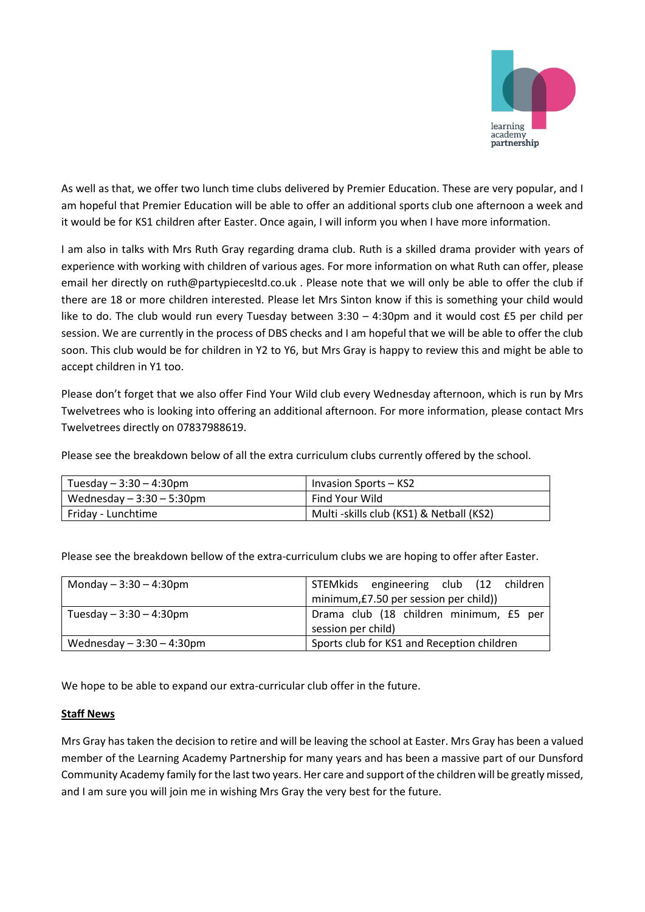

As well as that, we offer two lunch time clubs delivered by Premier Education. These are very popular, and I am hopeful that Premier Education will be able to offer an additional sports club one afternoon a week and it would be for KS1 children after Easter. Once again, I will inform you when I have more information.

I am also in talks with Mrs Ruth Gray regarding drama club. Ruth is a skilled drama provider with years of experience with working with children of various ages. For more information on what Ruth can offer, please email her directly on ruth@partypiecesltd.co.uk . Please note that we will only be able to offer the club if there are 18 or more children interested. Please let Mrs Sinton know if this is something your child would like to do. The club would run every Tuesday between 3:30 – 4:30pm and it would cost £5 per child per session. We are currently in the process of DBS checks and I am hopeful that we will be able to offer the club soon. This club would be for children in Y2 to Y6, but Mrs Gray is happy to review this and might be able to accept children in Y1 too.

Please don't forget that we also offer Find Your Wild club every Wednesday afternoon, which is run by Mrs Twelvetrees who is looking into offering an additional afternoon. For more information, please contact Mrs Twelvetrees directly on 07837988619.

Please see the breakdown below of all the extra curriculum clubs currently offered by the school.

| Tuesday $-3:30-4:30$ pm   | Invasion Sports – KS2                   |
|---------------------------|-----------------------------------------|
| Wednesday $-3:30-5:30$ pm | Find Your Wild                          |
| Friday - Lunchtime        | Multi-skills club (KS1) & Netball (KS2) |

Please see the breakdown bellow of the extra-curriculum clubs we are hoping to offer after Easter.

| Monday $-3:30 - 4:30$ pm    | STEMkids engineering club (12 children     |
|-----------------------------|--------------------------------------------|
|                             | minimum, £7.50 per session per child)      |
| Tuesday $-3:30 - 4:30$ pm   | Drama club (18 children minimum, £5 per    |
|                             | session per child)                         |
| Wednesday $-3:30 - 4:30$ pm | Sports club for KS1 and Reception children |

We hope to be able to expand our extra-curricular club offer in the future.

## **Staff News**

Mrs Gray has taken the decision to retire and will be leaving the school at Easter. Mrs Gray has been a valued member of the Learning Academy Partnership for many years and has been a massive part of our Dunsford Community Academy family for the last two years. Her care and support of the children will be greatly missed, and I am sure you will join me in wishing Mrs Gray the very best for the future.